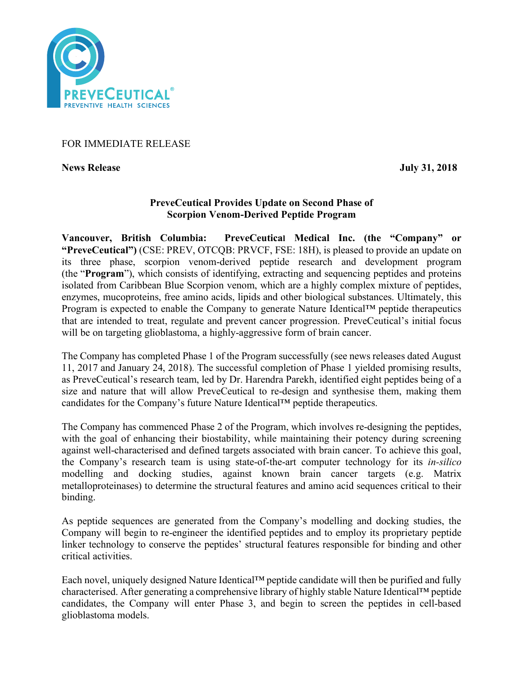

# FOR IMMEDIATE RELEASE

**News Release July 31, 2018**

# **PreveCeutical Provides Update on Second Phase of Scorpion Venom-Derived Peptide Program**

**Vancouver, British Columbia: PreveCeutical Medical Inc. (the "Company" or "PreveCeutical")** (CSE: PREV, OTCQB: PRVCF, FSE: 18H), is pleased to provide an update on its three phase, scorpion venom-derived peptide research and development program (the "**Program**"), which consists of identifying, extracting and sequencing peptides and proteins isolated from Caribbean Blue Scorpion venom, which are a highly complex mixture of peptides, enzymes, mucoproteins, free amino acids, lipids and other biological substances. Ultimately, this Program is expected to enable the Company to generate Nature Identical™ peptide therapeutics that are intended to treat, regulate and prevent cancer progression. PreveCeutical's initial focus will be on targeting glioblastoma, a highly-aggressive form of brain cancer.

The Company has completed Phase 1 of the Program successfully (see news releases dated August 11, 2017 and January 24, 2018). The successful completion of Phase 1 yielded promising results, as PreveCeutical's research team, led by Dr. Harendra Parekh, identified eight peptides being of a size and nature that will allow PreveCeutical to re-design and synthesise them, making them candidates for the Company's future Nature Identical™ peptide therapeutics.

The Company has commenced Phase 2 of the Program, which involves re-designing the peptides, with the goal of enhancing their biostability, while maintaining their potency during screening against well-characterised and defined targets associated with brain cancer. To achieve this goal, the Company's research team is using state-of-the-art computer technology for its *in-silico* modelling and docking studies, against known brain cancer targets (e.g. Matrix metalloproteinases) to determine the structural features and amino acid sequences critical to their binding.

As peptide sequences are generated from the Company's modelling and docking studies, the Company will begin to re-engineer the identified peptides and to employ its proprietary peptide linker technology to conserve the peptides' structural features responsible for binding and other critical activities.

Each novel, uniquely designed Nature Identical™ peptide candidate will then be purified and fully characterised. After generating a comprehensive library of highly stable Nature Identical™ peptide candidates, the Company will enter Phase 3, and begin to screen the peptides in cell-based glioblastoma models.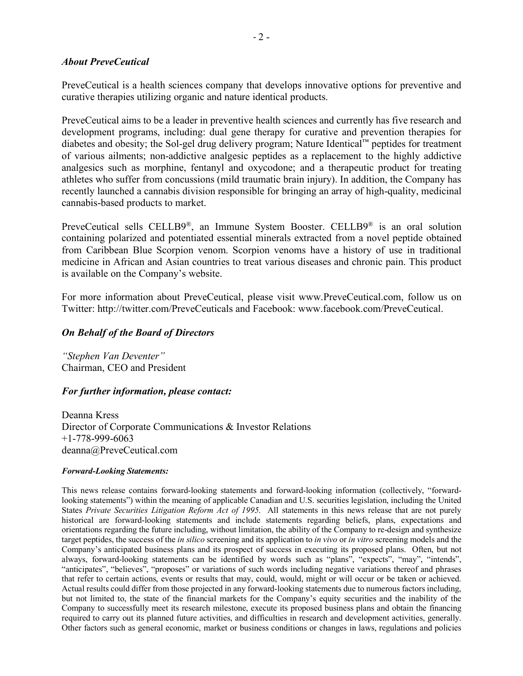## *About PreveCeutical*

PreveCeutical is a health sciences company that develops innovative options for preventive and curative therapies utilizing organic and nature identical products.

PreveCeutical aims to be a leader in preventive health sciences and currently has five research and development programs, including: dual gene therapy for curative and prevention therapies for diabetes and obesity; the Sol-gel drug delivery program; Nature Identical™ peptides for treatment of various ailments; non-addictive analgesic peptides as a replacement to the highly addictive analgesics such as morphine, fentanyl and oxycodone; and a therapeutic product for treating athletes who suffer from concussions (mild traumatic brain injury). In addition, the Company has recently launched a cannabis division responsible for bringing an array of high-quality, medicinal cannabis-based products to market.

PreveCeutical sells CELLB9®, an Immune System Booster. CELLB9® is an oral solution containing polarized and potentiated essential minerals extracted from a novel peptide obtained from Caribbean Blue Scorpion venom. Scorpion venoms have a history of use in traditional medicine in African and Asian countries to treat various diseases and chronic pain. This product is available on the Company's website.

For more information about PreveCeutical, please visit www.PreveCeutical.com, follow us on Twitter: http://twitter.com/PreveCeuticals and Facebook: www.facebook.com/PreveCeutical.

## *On Behalf of the Board of Directors*

*"Stephen Van Deventer"* Chairman, CEO and President

## *For further information, please contact:*

Deanna Kress Director of Corporate Communications & Investor Relations +1-778-999-6063 deanna@PreveCeutical.com

#### *Forward-Looking Statements:*

This news release contains forward-looking statements and forward-looking information (collectively, "forwardlooking statements") within the meaning of applicable Canadian and U.S. securities legislation, including the United States *Private Securities Litigation Reform Act of 1995*. All statements in this news release that are not purely historical are forward-looking statements and include statements regarding beliefs, plans, expectations and orientations regarding the future including, without limitation, the ability of the Company to re-design and synthesize target peptides, the success of the *in silico* screening and its application to *in vivo* or *in vitro* screening models and the Company's anticipated business plans and its prospect of success in executing its proposed plans. Often, but not always, forward-looking statements can be identified by words such as "plans", "expects", "may", "intends", "anticipates", "believes", "proposes" or variations of such words including negative variations thereof and phrases that refer to certain actions, events or results that may, could, would, might or will occur or be taken or achieved. Actual results could differ from those projected in any forward-looking statements due to numerous factors including, but not limited to, the state of the financial markets for the Company's equity securities and the inability of the Company to successfully meet its research milestone, execute its proposed business plans and obtain the financing required to carry out its planned future activities, and difficulties in research and development activities, generally. Other factors such as general economic, market or business conditions or changes in laws, regulations and policies